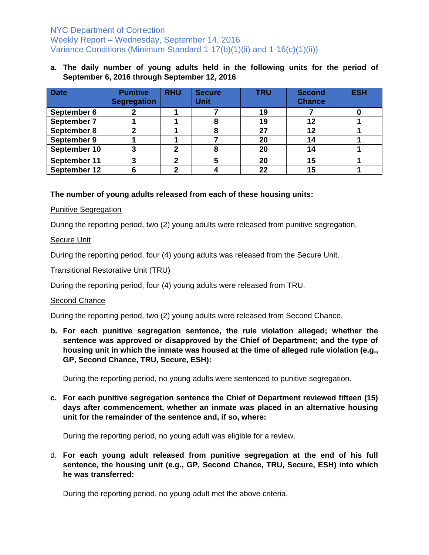# NYC Department of Correction Weekly Report – Wednesday, September 14, 2016 Variance Conditions (Minimum Standard 1-17(b)(1)(ii) and 1-16(c)(1)(ii))

## **a. The daily number of young adults held in the following units for the period of September 6, 2016 through September 12, 2016**

| <b>Date</b>  | <b>Punitive</b><br><b>Segregation</b> | <b>RHU</b> | <b>Secure</b><br><b>Unit</b> | <b>TRU</b> | <b>Second</b><br><b>Chance</b> | <b>ESH</b> |
|--------------|---------------------------------------|------------|------------------------------|------------|--------------------------------|------------|
| September 6  |                                       |            |                              | 19         |                                |            |
| September 7  |                                       |            |                              | 19         | 12                             |            |
| September 8  |                                       |            |                              | 27         | 12                             |            |
| September 9  |                                       |            |                              | 20         |                                |            |
| September 10 |                                       | 2          | 8                            | 20         |                                |            |
| September 11 |                                       |            |                              | 20         | 15                             |            |
| September 12 |                                       |            |                              | 22         | 15                             |            |

# **The number of young adults released from each of these housing units:**

#### Punitive Segregation

During the reporting period, two (2) young adults were released from punitive segregation.

## Secure Unit

During the reporting period, four (4) young adults was released from the Secure Unit.

#### Transitional Restorative Unit (TRU)

During the reporting period, four (4) young adults were released from TRU.

#### Second Chance

During the reporting period, two (2) young adults were released from Second Chance.

**b. For each punitive segregation sentence, the rule violation alleged; whether the sentence was approved or disapproved by the Chief of Department; and the type of housing unit in which the inmate was housed at the time of alleged rule violation (e.g., GP, Second Chance, TRU, Secure, ESH):**

During the reporting period, no young adults were sentenced to punitive segregation.

**c. For each punitive segregation sentence the Chief of Department reviewed fifteen (15) days after commencement, whether an inmate was placed in an alternative housing unit for the remainder of the sentence and, if so, where:** 

During the reporting period, no young adult was eligible for a review.

d. **For each young adult released from punitive segregation at the end of his full sentence, the housing unit (e.g., GP, Second Chance, TRU, Secure, ESH) into which he was transferred:** 

During the reporting period, no young adult met the above criteria.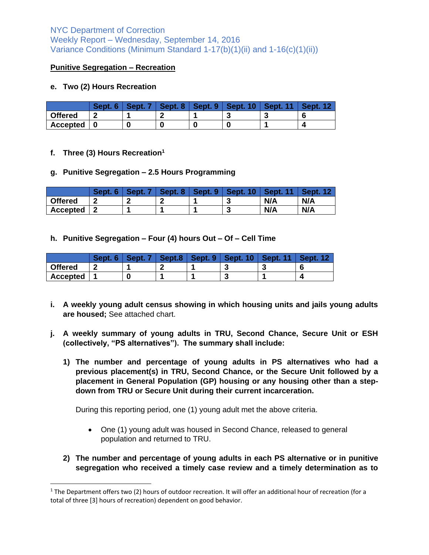# NYC Department of Correction Weekly Report – Wednesday, September 14, 2016 Variance Conditions (Minimum Standard 1-17(b)(1)(ii) and 1-16(c)(1)(ii))

#### **Punitive Segregation – Recreation**

#### **e. Two (2) Hours Recreation**

|                 | Sept | Sept. | 8<br>Sept. | Sept. 9 | 10<br>Sept. | Sept.  |  |
|-----------------|------|-------|------------|---------|-------------|--------|--|
| <b>Offered</b>  |      |       |            |         |             | -<br>v |  |
| <b>Accepted</b> | U    |       | 0          | C       |             |        |  |

#### **f. Three (3) Hours Recreation<sup>1</sup>**

 $\overline{\phantom{a}}$ 

#### **g. Punitive Segregation – 2.5 Hours Programming**

|                 | Sept | 8<br>Sept. | 9<br>Sept. | 10<br>Sept. | 44  |     |
|-----------------|------|------------|------------|-------------|-----|-----|
| <b>Offered</b>  | n    |            |            |             | N/A | N/A |
| <b>Accepted</b> | л    |            |            |             | N/A | N/A |

**h. Punitive Segregation – Four (4) hours Out – Of – Cell Time**

|                 | <b>Sec.</b> | Sept. | Sept.8 | Sept. 9 | 10<br>Sept. | Sept. |  |
|-----------------|-------------|-------|--------|---------|-------------|-------|--|
| <b>Offered</b>  | ∽           |       |        |         | ູ           | w     |  |
| <b>Accepted</b> |             |       |        |         | ں.          |       |  |

- **i. A weekly young adult census showing in which housing units and jails young adults are housed;** See attached chart.
- **j. A weekly summary of young adults in TRU, Second Chance, Secure Unit or ESH (collectively, "PS alternatives"). The summary shall include:** 
	- **1) The number and percentage of young adults in PS alternatives who had a previous placement(s) in TRU, Second Chance, or the Secure Unit followed by a placement in General Population (GP) housing or any housing other than a stepdown from TRU or Secure Unit during their current incarceration.**

During this reporting period, one (1) young adult met the above criteria.

- One (1) young adult was housed in Second Chance, released to general population and returned to TRU.
- **2) The number and percentage of young adults in each PS alternative or in punitive segregation who received a timely case review and a timely determination as to**

 $1$  The Department offers two (2) hours of outdoor recreation. It will offer an additional hour of recreation (for a total of three [3] hours of recreation) dependent on good behavior.